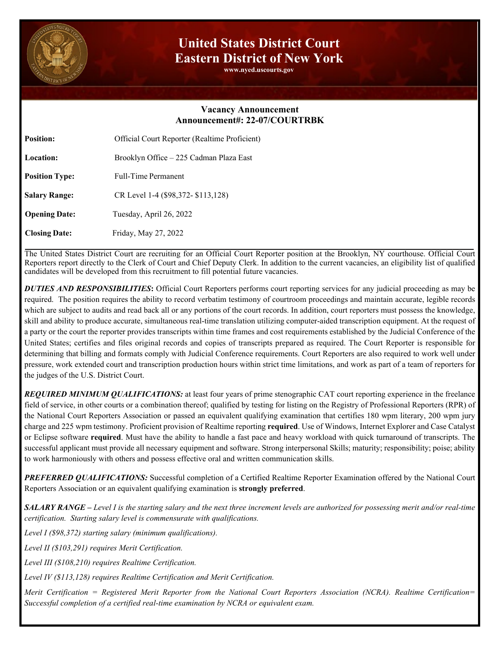

## **United States District Court Eastern District of New York**

**www.nyed.uscourts.gov**

## **Vacancy Announcement Announcement#: 22-07/COURTRBK**

| <b>Position:</b>      | Official Court Reporter (Realtime Proficient) |
|-----------------------|-----------------------------------------------|
| <b>Location:</b>      | Brooklyn Office – 225 Cadman Plaza East       |
| <b>Position Type:</b> | <b>Full-Time Permanent</b>                    |
| <b>Salary Range:</b>  | CR Level 1-4 (\$98,372-\$113,128)             |
| <b>Opening Date:</b>  | Tuesday, April 26, 2022                       |
| <b>Closing Date:</b>  | Friday, May 27, 2022                          |

The United States District Court are recruiting for an Official Court Reporter position at the Brooklyn, NY courthouse. Official Court Reporters report directly to the Clerk of Court and Chief Deputy Clerk. In addition to the current vacancies, an eligibility list of qualified candidates will be developed from this recruitment to fill potential future vacancies.

*DUTIES AND RESPONSIBILITIES***:** Official Court Reporters performs court reporting services for any judicial proceeding as may be required. The position requires the ability to record verbatim testimony of courtroom proceedings and maintain accurate, legible records which are subject to audits and read back all or any portions of the court records. In addition, court reporters must possess the knowledge, skill and ability to produce accurate, simultaneous real-time translation utilizing computer-aided transcription equipment. At the request of a party or the court the reporter provides transcripts within time frames and cost requirements established by the Judicial Conference of the United States; certifies and files original records and copies of transcripts prepared as required. The Court Reporter is responsible for determining that billing and formats comply with Judicial Conference requirements. Court Reporters are also required to work well under pressure, work extended court and transcription production hours within strict time limitations, and work as part of a team of reporters for the judges of the U.S. District Court.

*REQUIRED MINIMUM QUALIFICATIONS:* at least four years of prime stenographic CAT court reporting experience in the freelance field of service, in other courts or a combination thereof; qualified by testing for listing on the Registry of Professional Reporters (RPR) of the National Court Reporters Association or passed an equivalent qualifying examination that certifies 180 wpm literary, 200 wpm jury charge and 225 wpm testimony. Proficient provision of Realtime reporting **required**. Use of Windows, Internet Explorer and Case Catalyst or Eclipse software **required**. Must have the ability to handle a fast pace and heavy workload with quick turnaround of transcripts. The successful applicant must provide all necessary equipment and software. Strong interpersonal Skills; maturity; responsibility; poise; ability to work harmoniously with others and possess effective oral and written communication skills.

*PREFERRED QUALIFICATIONS:* Successful completion of a Certified Realtime Reporter Examination offered by the National Court Reporters Association or an equivalent qualifying examination is **strongly preferred**.

*SALARY RANGE – Level I is the starting salary and the next three increment levels are authorized for possessing merit and/or real-time certification. Starting salary level is commensurate with qualifications.* 

*Level I (\$98,372) starting salary (minimum qualifications).* 

*Level II (\$103,291) requires Merit Certification.* 

*Level III (\$108,210) requires Realtime Certification.* 

*Level IV (\$113,128) requires Realtime Certification and Merit Certification.*

*Merit Certification = Registered Merit Reporter from the National Court Reporters Association (NCRA). Realtime Certification= Successful completion of a certified real-time examination by NCRA or equivalent exam.*